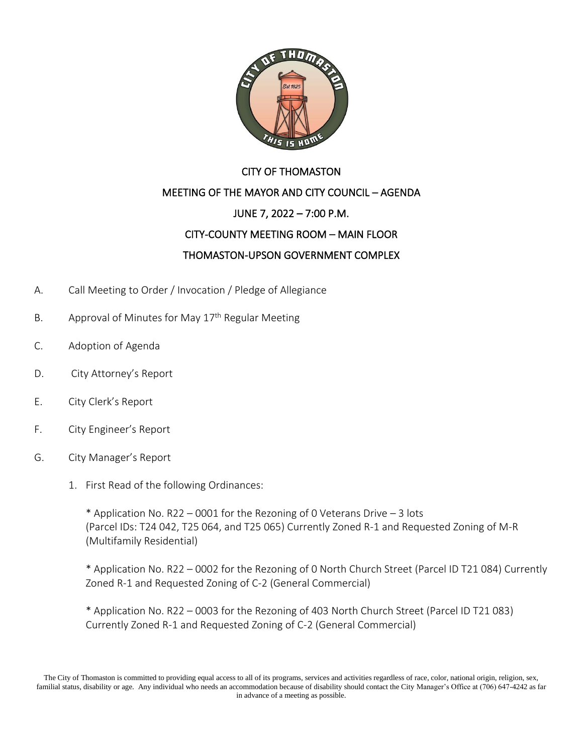

## CITY OF THOMASTON MEETING OF THE MAYOR AND CITY COUNCIL – AGENDA JUNE 7, 2022 – 7:00 P.M. CITY-COUNTY MEETING ROOM – MAIN FLOOR THOMASTON-UPSON GOVERNMENT COMPLEX

- A. Call Meeting to Order / Invocation / Pledge of Allegiance
- B. Approval of Minutes for May  $17<sup>th</sup>$  Regular Meeting
- C. Adoption of Agenda
- D. City Attorney's Report
- E. City Clerk's Report
- F. City Engineer's Report
- G. City Manager's Report
	- 1. First Read of the following Ordinances:

\* Application No. R22 – 0001 for the Rezoning of 0 Veterans Drive – 3 lots (Parcel IDs: T24 042, T25 064, and T25 065) Currently Zoned R-1 and Requested Zoning of M-R (Multifamily Residential)

\* Application No. R22 – 0002 for the Rezoning of 0 North Church Street (Parcel ID T21 084) Currently Zoned R-1 and Requested Zoning of C-2 (General Commercial)

\* Application No. R22 – 0003 for the Rezoning of 403 North Church Street (Parcel ID T21 083) Currently Zoned R-1 and Requested Zoning of C-2 (General Commercial)